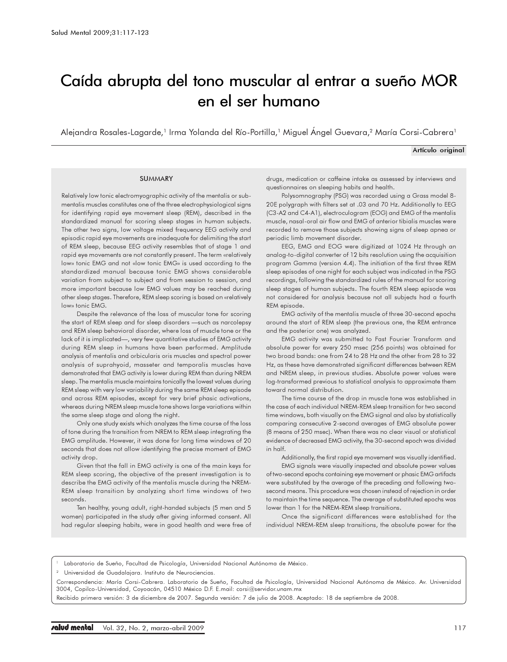# Caída abrupta del tono muscular al entrar a sueño MOR en el ser humano

Alejandra Rosales-Lagarde,<sup>1</sup> Irma Yolanda del Río-Portilla,<sup>1</sup> Miguel Ángel Guevara,<sup>2</sup> María Corsi-Cabrera<sup>1</sup>

### Artículo original

#### **SUMMARY**

Relatively low tonic electromyographic activity of the mentalis or submentalis muscles constitutes one of the three electrophysiological signs for identifying rapid eye movement sleep (REM), described in the standardized manual for scoring sleep stages in human subjects. The other two signs, low voltage mixed frequency EEG activity and episodic rapid eye movements are inadequate for delimiting the start of REM sleep, because EEG activity resembles that of stage 1 and rapid eye movements are not constantly present. The term «relatively low» tonic EMG and not «low tonic EMG» is used according to the standardized manual because tonic EMG shows considerable variation from subject to subject and from session to session, and more important because low EMG values may be reached during other sleep stages. Therefore, REM sleep scoring is based on «relatively low» tonic EMG.

Despite the relevance of the loss of muscular tone for scoring the start of REM sleep and for sleep disorders —such as narcolepsy and REM sleep behavioral disorder, where loss of muscle tone or the lack of it is implicated—, very few quantitative studies of EMG activity during REM sleep in humans have been performed. Amplitude analysis of mentalis and orbicularis oris muscles and spectral power analysis of suprahyoid, masseter and temporalis muscles have demonstrated that EMG activity is lower during REM than during NREM sleep. The mentalis muscle maintains tonically the lowest values during REM sleep with very low variability during the same REM sleep episode and across REM episodes, except for very brief phasic activations, whereas during NREM sleep muscle tone shows large variations within the same sleep stage and along the night.

Only one study exists which analyzes the time course of the loss of tone during the transition from NREM to REM sleep integrating the EMG amplitude. However, it was done for long time windows of 20 seconds that does not allow identifying the precise moment of EMG activity drop.

Given that the fall in EMG activity is one of the main keys for REM sleep scoring, the objective of the present investigation is to describe the EMG activity of the mentalis muscle during the NREM-REM sleep transition by analyzing short time windows of two seconds.

Ten healthy, young adult, right-handed subjects (5 men and 5 women) participated in the study after giving informed consent. All had regular sleeping habits, were in good health and were free of drugs, medication or caffeine intake as assessed by interviews and questionnaires on sleeping habits and health.

Polysomnography (PSG) was recorded using a Grass model 8- 20E polygraph with filters set at .03 and 70 Hz. Additionally to EEG (C3-A2 and C4-A1), electroculogram (EOG) and EMG of the mentalis muscle, nasal-oral air flow and EMG of anterior tibialis muscles were recorded to remove those subjects showing signs of sleep apnea or periodic limb movement disorder.

EEG, EMG and EOG were digitized at 1024 Hz through an analog-to-digital converter of 12 bits resolution using the acquisition program Gamma (version 4.4). The initiation of the first three REM sleep episodes of one night for each subject was indicated in the PSG recordings, following the standardized rules of the manual for scoring sleep stages of human subjects. The fourth REM sleep episode was not considered for analysis because not all subjects had a fourth REM episode.

EMG activity of the mentalis muscle of three 30-second epochs around the start of REM sleep (the previous one, the REM entrance and the posterior one) was analyzed.

EMG activity was submitted to Fast Fourier Transform and absolute power for every 250 msec (256 points) was obtained for two broad bands: one from 24 to 28 Hz and the other from 28 to 32 Hz, as these have demonstrated significant differences between REM and NREM sleep, in previous studies. Absolute power values were log-transformed previous to statistical analysis to approximate them toward normal distribution.

The time course of the drop in muscle tone was established in the case of each individual NREM-REM sleep transition for two second time windows, both visually on the EMG signal and also by statistically comparing consecutive 2-second averages of EMG absolute power (8 means of 250 msec). When there was no clear visual or statistical evidence of decreased EMG activity, the 30-second epoch was divided in half.

Additionally, the first rapid eye movement was visually identified.

EMG signals were visually inspected and absolute power values of two-second epochs containing eye movement or phasic EMG artifacts were substituted by the average of the preceding and following twosecond means. This procedure was chosen instead of rejection in order to maintain the time sequence. The average of substituted epochs was lower than 1 for the NREM-REM sleep transitions.

Once the significant differences were established for the individual NREM-REM sleep transitions, the absolute power for the

Laboratorio de Sueño, Facultad de Psicología, Universidad Nacional Autónoma de México.

Universidad de Guadalajara. Instituto de Neurociencias.

Correspondencia: María Corsi-Cabrera. Laboratorio de Sueño, Facultad de Psicología, Universidad Nacional Autónoma de México. Av. Universidad 3004, Copilco-Universidad, Coyoacán, 04510 México D.F. E.mail: corsi@servidor.unam.mx

Recibido primera versión: 3 de diciembre de 2007. Segunda versión: 7 de julio de 2008. Aceptado: 18 de septiembre de 2008.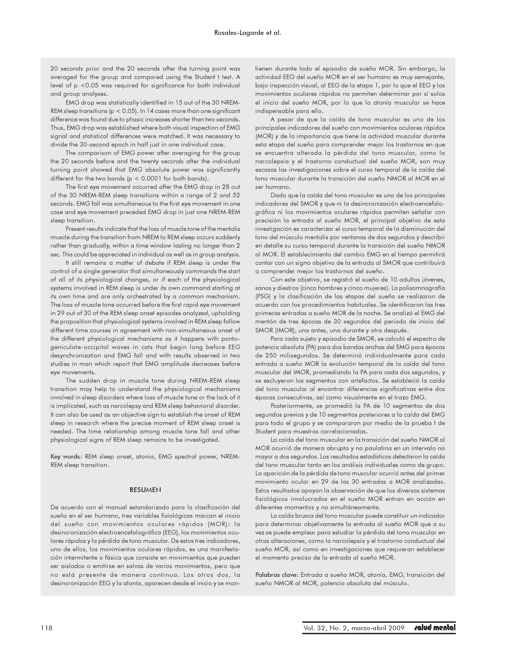20 seconds prior and the 20 seconds after the turning point was averaged for the group and compared using the Student t test. A level of p <0.05 was required for significance for both individual and group analyses.

EMG drop was statistically identified in 15 out of the 30 NREM-REM sleep transitions ( $p < 0.05$ ). In 14 cases more than one significant difference was found due to phasic increases shorter than two seconds. Thus, EMG drop was established where both visual inspection of EMG signal and statistical differences were matched. It was necessary to divide the 30-second epoch in half just in one individual case.

The comparison of EMG power after averaging for the group the 20 seconds before and the twenty seconds after the individual turning point showed that EMG absolute power was significantly different for the two bands ( $p < 0.0001$  for both bands).

The first eye movement occurred after the EMG drop in 28 out of the 30 NREM-REM sleep transitions within a range of 2 and 52 seconds. EMG fall was simultaneous to the first eye movement in one case and eye movement preceded EMG drop in just one NREM-REM sleep transition.

Present results indicate that the loss of muscle tone of the mentalis muscle during the transition from NREM to REM sleep occurs suddenly rather than gradually, within a time window lasting no longer than 2 sec. This could be appreciated in individual as well as in group analysis.

It still remains a matter of debate if REM sleep is under the control of a single generator that simultaneously commands the start of all of its physiological changes, or if each of the physiological systems involved in REM sleep is under its own command starting at its own time and are only orchestrated by a common mechanism. The loss of muscle tone occurred before the first rapid eye movement in 29 out of 30 of the REM sleep onset episodes analyzed, upholding the proposition that physiological systems involved in REM sleep follow different time courses in agreement with non-simultaneous onset of the different physiological mechanisms as it happens with pontogeniculate-occipital waves in cats that begin long before EEG desynchronization and EMG fall and with results observed in two studies in man which report that EMG amplitude decreases before eye movements.

The sudden drop in muscle tone during NREM-REM sleep transition may help to understand the physiological mechanisms involved in sleep disorders where loss of muscle tone or the lack of it is implicated, such as narcolepsy and REM sleep behavioral disorder. It can also be used as an objective sign to establish the onset of REM sleep in research where the precise moment of REM sleep onset is needed. The time relationship among muscle tone fall and other physiological signs of REM sleep remains to be investigated.

Key words: REM sleep onset, atonia, EMG spectral power, NREM-REM sleep transition.

#### RESUMEN

De acuerdo con el manual estandarizado para la clasificación del sueño en el ser humano, tres variables fisiológicas marcan el inicio del sueño con movimientos oculares rápidos (MOR): la desincronización electroencefalográfica (EEG), los movimientos oculares rápidos y la pérdida de tono muscular. De estos tres indicadores, uno de ellos, los movimientos oculares rápidos, es una manifestación intermitente o fásica que consiste en movimientos que pueden ser aislados o emitirse en salvas de varios movimientos, pero que no está presente de manera continua. Los otros dos, la desincronización EEG y la atonía, aparecen desde el inicio y se mantienen durante todo el episodio de sueño MOR. Sin embargo, la actividad EEG del sueño MOR en el ser humano es muy semejante, bajo inspección visual, al EEG de la etapa 1, por lo que el EEG y los movimientos oculares rápidos no permiten determinar por sí solos el inicio del sueño MOR, por lo que la atonía muscular se hace indispensable para ello.

A pesar de que la caída de tono muscular es uno de los principales indicadores del sueño con movimientos oculares rápidos (MOR) y de la importancia que tiene la actividad muscular durante esta etapa del sueño para comprender mejor los trastornos en que se encuentra alterada la pérdida del tono muscular, como la narcolepsia y el trastorno conductual del sueño MOR, son muy escasas las investigaciones sobre el curso temporal de la caída del tono muscular durante la transición del sueño NMOR al MOR en el ser humano.

Dado que la caída del tono muscular es uno de los principales indicadores del SMOR y que ni la desincronización electroencefalográfica ni los movimientos oculares rápidos permiten señalar con precisión la entrada al sueño MOR, el principal objetivo de esta investigación es caracterizar el curso temporal de la disminución del tono del músculo mentalis por ventanas de dos segundos y describir en detalle su curso temporal durante la transición del sueño NMOR al MOR. El establecimiento del cambio EMG en el tiempo permitirá contar con un signo objetivo de la entrada al SMOR que contribuirá a comprender mejor los trastornos del sueño.

Con este objetivo, se registró el sueño de 10 adultos jóvenes, sanos y diestros (cinco hombres y cinco mujeres). La polisomnografía (PSG) y la clasificación de las etapas del sueño se realizaron de acuerdo con los procedimientos habituales. Se identificaron las tres primeras entradas a sueño MOR de la noche. Se analizó el EMG del mentón de tres épocas de 30 segundos del periodo de inicio del SMOR (IMOR), una antes, una durante y otra después.

Para cada sujeto y episodio de SMOR, se calculó el espectro de potencia absoluta (PA) para dos bandas anchas del EMG para épocas de 250 milisegundos. Se determinó individualmente para cada entrada a sueño MOR la evolución temporal de la caída del tono muscular del IMOR, promediando la PA para cada dos segundos, y se excluyeron los segmentos con artefactos. Se estableció la caída del tono muscular al encontrar diferencias significativas entre dos épocas consecutivas, así como visualmente en el trazo EMG.

Posteriormente, se promedió la PA de 10 segmentos de dos segundos previos y de 10 segmentos posteriores a la caída del EMG para todo el grupo y se compararon por medio de la prueba t de Student para muestras correlacionadas.

La caída del tono muscular en la transición del sueño NMOR al MOR ocurrió de manera abrupta y no paulatina en un intervalo no mayor a dos segundos. Los resultados estadísticos detectaron la caída del tono muscular tanto en los análisis individuales como de grupo. La aparición de la pérdida de tono muscular ocurrió antes del primer movimiento ocular en 29 de las 30 entradas a MOR analizadas. Estos resultados apoyan la observación de que los diversos sistemas fisiológicos involucrados en el sueño MOR entran en acción en diferentes momentos y no simultáneamente.

La caída brusca del tono muscular puede constituir un indicador para determinar objetivamente la entrada al sueño MOR que a su vez se puede emplear para estudiar la pérdida del tono muscular en otras alteraciones, como la narcolepsia y el trastorno conductual del sueño MOR, así como en investigaciones que requieran establecer el momento preciso de la entrada al sueño MOR.

Palabras clave: Entrada a sueño MOR, atonía, EMG, transición del sueño NMOR al MOR, potencia absoluta del músculo.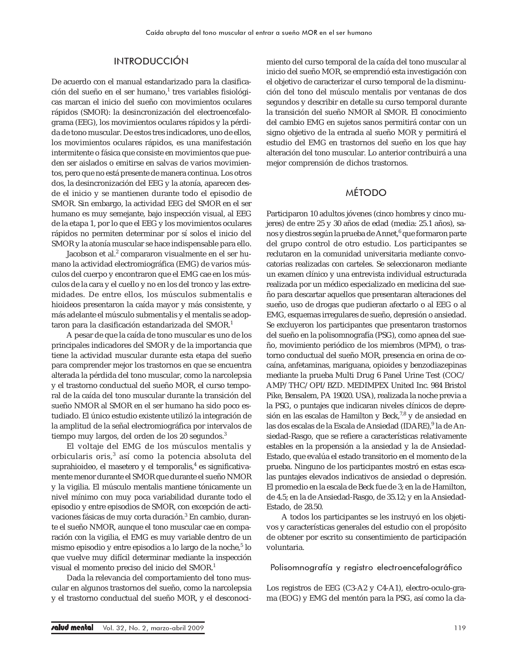# INTRODUCCIÓN

De acuerdo con el manual estandarizado para la clasificación del sueño en el ser humano,<sup>1</sup> tres variables fisiológicas marcan el inicio del sueño con movimientos oculares rápidos (SMOR): la desincronización del electroencefalograma (EEG), los movimientos oculares rápidos y la pérdida de tono muscular. De estos tres indicadores, uno de ellos, los movimientos oculares rápidos, es una manifestación intermitente o fásica que consiste en movimientos que pueden ser aislados o emitirse en salvas de varios movimientos, pero que no está presente de manera continua. Los otros dos, la desincronización del EEG y la atonía, aparecen desde el inicio y se mantienen durante todo el episodio de SMOR. Sin embargo, la actividad EEG del SMOR en el ser humano es muy semejante, bajo inspección visual, al EEG de la etapa 1, por lo que el EEG y los movimientos oculares rápidos no permiten determinar por sí solos el inicio del SMOR y la atonía muscular se hace indispensable para ello.

Jacobson et al. $^2$  compararon visualmente en el ser humano la actividad electromiográfica (EMG) de varios músculos del cuerpo y encontraron que el EMG cae en los músculos de la cara y el cuello y no en los del tronco y las extremidades. De entre ellos, los músculos submentalis e hioideos presentaron la caída mayor y más consistente, y más adelante el músculo submentalis y el mentalis se adoptaron para la clasificación estandarizada del SMOR.<sup>1</sup>

A pesar de que la caída de tono muscular es uno de los principales indicadores del SMOR y de la importancia que tiene la actividad muscular durante esta etapa del sueño para comprender mejor los trastornos en que se encuentra alterada la pérdida del tono muscular, como la narcolepsia y el trastorno conductual del sueño MOR, el curso temporal de la caída del tono muscular durante la transición del sueño NMOR al SMOR en el ser humano ha sido poco estudiado. El único estudio existente utilizó la integración de la amplitud de la señal electromiográfica por intervalos de tiempo muy largos, del orden de los 20 segundos.<sup>3</sup>

El voltaje del EMG de los músculos mentalis y orbicularis oris,<sup>3</sup> así como la potencia absoluta del suprahioideo, el masetero y el temporalis,<sup>4</sup> es significativamente menor durante el SMOR que durante el sueño NMOR y la vigilia. El músculo mentalis mantiene tónicamente un nivel mínimo con muy poca variabilidad durante todo el episodio y entre episodios de SMOR, con excepción de activaciones fásicas de muy corta duración.<sup>3</sup> En cambio, durante el sueño NMOR, aunque el tono muscular cae en comparación con la vigilia, el EMG es muy variable dentro de un mismo episodio y entre episodios a lo largo de la noche,<sup>5</sup> lo que vuelve muy difícil determinar mediante la inspección visual el momento preciso del inicio del SMOR.1

Dada la relevancia del comportamiento del tono muscular en algunos trastornos del sueño, como la narcolepsia y el trastorno conductual del sueño MOR, y el desconoci-

miento del curso temporal de la caída del tono muscular al inicio del sueño MOR, se emprendió esta investigación con el objetivo de caracterizar el curso temporal de la disminución del tono del músculo mentalis por ventanas de dos segundos y describir en detalle su curso temporal durante la transición del sueño NMOR al SMOR. El conocimiento del cambio EMG en sujetos sanos permitirá contar con un signo objetivo de la entrada al sueño MOR y permitirá el estudio del EMG en trastornos del sueño en los que hay alteración del tono muscular. Lo anterior contribuirá a una mejor comprensión de dichos trastornos.

# MÉTODO

Participaron 10 adultos jóvenes (cinco hombres y cinco mujeres) de entre 25 y 30 años de edad (media: 25.1 años), sanos y diestros según la prueba de Annet,<sup>6</sup> que formaron parte del grupo control de otro estudio. Los participantes se reclutaron en la comunidad universitaria mediante convocatorias realizadas con carteles. Se seleccionaron mediante un examen clínico y una entrevista individual estructurada realizada por un médico especializado en medicina del sueño para descartar aquellos que presentaran alteraciones del sueño, uso de drogas que pudieran afectarlo o al EEG o al EMG, esquemas irregulares de sueño, depresión o ansiedad. Se excluyeron los participantes que presentaron trastornos del sueño en la polisomnografía (PSG), como apnea del sueño, movimiento periódico de los miembros (MPM), o trastorno conductual del sueño MOR, presencia en orina de cocaína, anfetaminas, mariguana, opioides y benzodiazepinas mediante la prueba Multi Drug 6 Panel Urine Test (COC/ AMP/THC/OPI/BZD. MEDIMPEX United Inc. 984 Bristol Pike, Bensalem, PA 19020. USA), realizada la noche previa a la PSG, o puntajes que indicaran niveles clínicos de depresión en las escalas de Hamilton y Beck,<sup>7,8</sup> y de ansiedad en las dos escalas de la Escala de Ansiedad (IDARE),<sup>9</sup> la de Ansiedad-Rasgo, que se refiere a características relativamente estables en la propensión a la ansiedad y la de Ansiedad-Estado, que evalúa el estado transitorio en el momento de la prueba. Ninguno de los participantes mostró en estas escalas puntajes elevados indicativos de ansiedad o depresión. El promedio en la escala de Beck fue de 3; en la de Hamilton, de 4.5; en la de Ansiedad-Rasgo, de 35.12; y en la Ansiedad-Estado, de 28.50.

A todos los participantes se les instruyó en los objetivos y características generales del estudio con el propósito de obtener por escrito su consentimiento de participación voluntaria.

## Polisomnografía y registro electroencefalográfico

Los registros de EEG (C3-A2 y C4-A1), electro-oculo-grama (EOG) y EMG del mentón para la PSG, así como la cla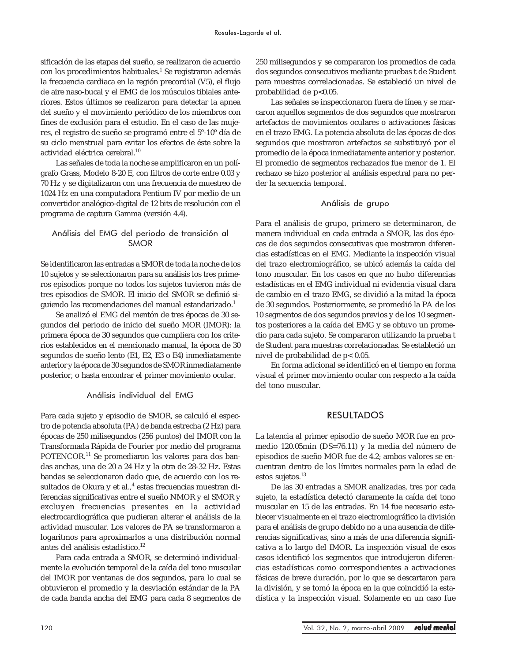sificación de las etapas del sueño, se realizaron de acuerdo con los procedimientos habituales.<sup>1</sup> Se registraron además la frecuencia cardiaca en la región precordial (V5), el flujo de aire naso-bucal y el EMG de los músculos tibiales anteriores. Estos últimos se realizaron para detectar la apnea del sueño y el movimiento periódico de los miembros con fines de exclusión para el estudio. En el caso de las mujeres, el registro de sueño se programó entre el 5º-10º día de su ciclo menstrual para evitar los efectos de éste sobre la actividad eléctrica cerebral.<sup>10</sup>

Las señales de toda la noche se amplificaron en un polígrafo Grass, Modelo 8-20 E, con filtros de corte entre 0.03 y 70 Hz y se digitalizaron con una frecuencia de muestreo de 1024 Hz en una computadora Pentium IV por medio de un convertidor analógico-digital de 12 bits de resolución con el programa de captura Gamma (versión 4.4).

## Análisis del EMG del periodo de transición al SMOR

Se identificaron las entradas a SMOR de toda la noche de los 10 sujetos y se seleccionaron para su análisis los tres primeros episodios porque no todos los sujetos tuvieron más de tres episodios de SMOR. El inicio del SMOR se definió siguiendo las recomendaciones del manual estandarizado.<sup>1</sup>

Se analizó el EMG del mentón de tres épocas de 30 segundos del periodo de inicio del sueño MOR (IMOR): la primera época de 30 segundos que cumpliera con los criterios establecidos en el mencionado manual, la época de 30 segundos de sueño lento (E1, E2, E3 o E4) inmediatamente anterior y la época de 30 segundos de SMOR inmediatamente posterior, o hasta encontrar el primer movimiento ocular.

## Análisis individual del EMG

Para cada sujeto y episodio de SMOR, se calculó el espectro de potencia absoluta (PA) de banda estrecha (2 Hz) para épocas de 250 milisegundos (256 puntos) del IMOR con la Transformada Rápida de Fourier por medio del programa POTENCOR.11 Se promediaron los valores para dos bandas anchas, una de 20 a 24 Hz y la otra de 28-32 Hz. Estas bandas se seleccionaron dado que, de acuerdo con los resultados de Okura y et al.,<sup>4</sup> estas frecuencias muestran diferencias significativas entre el sueño NMOR y el SMOR y excluyen frecuencias presentes en la actividad electrocardiográfica que pudieran alterar el análisis de la actividad muscular. Los valores de PA se transformaron a logaritmos para aproximarlos a una distribución normal antes del análisis estadístico.<sup>12</sup>

Para cada entrada a SMOR, se determinó individualmente la evolución temporal de la caída del tono muscular del IMOR por ventanas de dos segundos, para lo cual se obtuvieron el promedio y la desviación estándar de la PA de cada banda ancha del EMG para cada 8 segmentos de

250 milisegundos y se compararon los promedios de cada dos segundos consecutivos mediante pruebas t de Student para muestras correlacionadas. Se estableció un nivel de probabilidad de p<0.05.

Las señales se inspeccionaron fuera de línea y se marcaron aquellos segmentos de dos segundos que mostraron artefactos de movimientos oculares o activaciones fásicas en el trazo EMG. La potencia absoluta de las épocas de dos segundos que mostraron artefactos se substituyó por el promedio de la época inmediatamente anterior y posterior. El promedio de segmentos rechazados fue menor de 1. El rechazo se hizo posterior al análisis espectral para no perder la secuencia temporal.

## Análisis de grupo

Para el análisis de grupo, primero se determinaron, de manera individual en cada entrada a SMOR, las dos épocas de dos segundos consecutivas que mostraron diferencias estadísticas en el EMG. Mediante la inspección visual del trazo electromiográfico, se ubicó además la caída del tono muscular. En los casos en que no hubo diferencias estadísticas en el EMG individual ni evidencia visual clara de cambio en el trazo EMG, se dividió a la mitad la época de 30 segundos. Posteriormente, se promedió la PA de los 10 segmentos de dos segundos previos y de los 10 segmentos posteriores a la caída del EMG y se obtuvo un promedio para cada sujeto. Se compararon utilizando la prueba t de Student para muestras correlacionadas. Se estableció un nivel de probabilidad de p< 0.05.

En forma adicional se identificó en el tiempo en forma visual el primer movimiento ocular con respecto a la caída del tono muscular.

## RESULTADOS

La latencia al primer episodio de sueño MOR fue en promedio 120.05min (DS=76.11) y la media del número de episodios de sueño MOR fue de 4.2; ambos valores se encuentran dentro de los límites normales para la edad de estos sujetos.<sup>13</sup>

De las 30 entradas a SMOR analizadas, tres por cada sujeto, la estadística detectó claramente la caída del tono muscular en 15 de las entradas. En 14 fue necesario establecer visualmente en el trazo electromiográfico la división para el análisis de grupo debido no a una ausencia de diferencias significativas, sino a más de una diferencia significativa a lo largo del IMOR. La inspección visual de esos casos identificó los segmentos que introdujeron diferencias estadísticas como correspondientes a activaciones fásicas de breve duración, por lo que se descartaron para la división, y se tomó la época en la que coincidió la estadística y la inspección visual. Solamente en un caso fue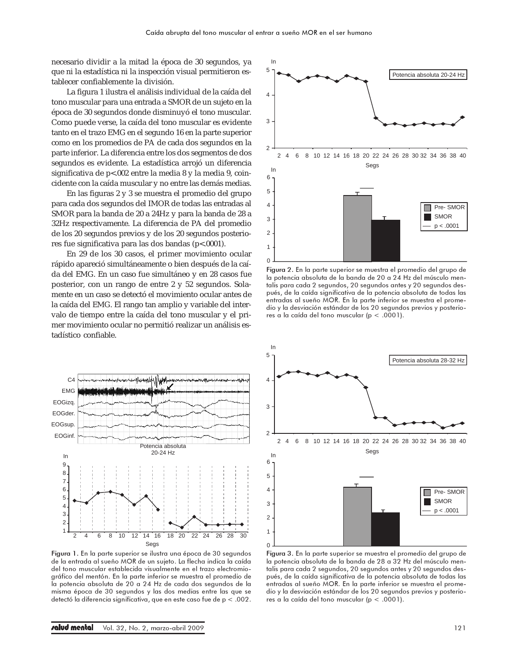necesario dividir a la mitad la época de 30 segundos, ya que ni la estadística ni la inspección visual permitieron establecer confiablemente la división.

La figura 1 ilustra el análisis individual de la caída del tono muscular para una entrada a SMOR de un sujeto en la época de 30 segundos donde disminuyó el tono muscular. Como puede verse, la caída del tono muscular es evidente tanto en el trazo EMG en el segundo 16 en la parte superior como en los promedios de PA de cada dos segundos en la parte inferior. La diferencia entre los dos segmentos de dos segundos es evidente. La estadística arrojó un diferencia significativa de p<.002 entre la media 8 y la media 9, coincidente con la caída muscular y no entre las demás medias.

En las figuras 2 y 3 se muestra el promedio del grupo para cada dos segundos del IMOR de todas las entradas al SMOR para la banda de 20 a 24Hz y para la banda de 28 a 32Hz respectivamente. La diferencia de PA del promedio de los 20 segundos previos y de los 20 segundos posteriores fue significativa para las dos bandas (p<.0001).

En 29 de los 30 casos, el primer movimiento ocular rápido apareció simultáneamente o bien después de la caída del EMG. En un caso fue simultáneo y en 28 casos fue posterior, con un rango de entre 2 y 52 segundos. Solamente en un caso se detectó el movimiento ocular antes de la caída del EMG. El rango tan amplio y variable del intervalo de tiempo entre la caída del tono muscular y el primer movimiento ocular no permitió realizar un análisis estadístico confiable.



Figura 1. En la parte superior se ilustra una época de 30 segundos de la entrada al sueño MOR de un sujeto. La flecha indica la caída del tono muscular establecida visualmente en el trazo electromiográfico del mentón. En la parte inferior se muestra el promedio de la potencia absoluta de 20 a 24 Hz de cada dos segundos de la misma época de 30 segundos y las dos medias entre las que se detectó la diferencia significativa, que en este caso fue de p < .002.



Figura 2. En la parte superior se muestra el promedio del grupo de la potencia absoluta de la banda de 20 a 24 Hz del músculo mentalis para cada 2 segundos, 20 segundos antes y 20 segundos después, de la caída significativa de la potencia absoluta de todas las entradas al sueño MOR. En la parte inferior se muestra el promedio y la desviación estándar de los 20 segundos previos y posteriores a la caída del tono muscular (p < .0001).



Figura 3. En la parte superior se muestra el promedio del grupo de la potencia absoluta de la banda de 28 a 32 Hz del músculo mentalis para cada 2 segundos, 20 segundos antes y 20 segundos después, de la caída significativa de la potencia absoluta de todas las entradas al sueño MOR. En la parte inferior se muestra el promedio y la desviación estándar de los 20 segundos previos y posteriores a la caída del tono muscular (p < .0001).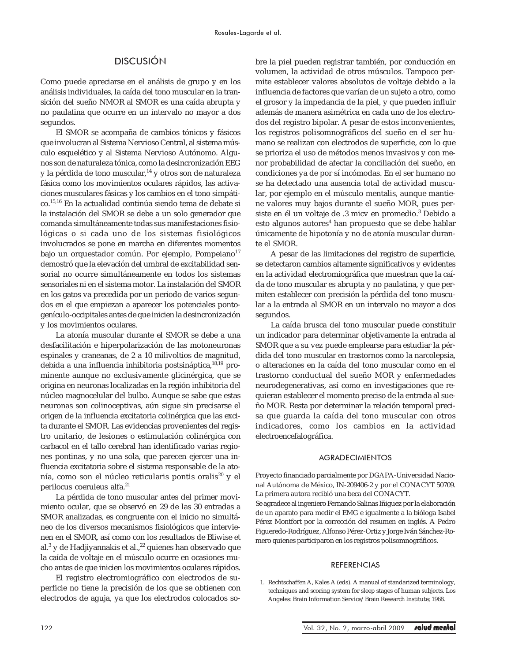# DISCUSIÓN

Como puede apreciarse en el análisis de grupo y en los análisis individuales, la caída del tono muscular en la transición del sueño NMOR al SMOR es una caída abrupta y no paulatina que ocurre en un intervalo no mayor a dos segundos.

El SMOR se acompaña de cambios tónicos y fásicos que involucran al Sistema Nervioso Central, al sistema músculo esquelético y al Sistema Nervioso Autónomo. Algunos son de naturaleza tónica, como la desincronización EEG y la pérdida de tono muscular,<sup>14</sup> y otros son de naturaleza fásica como los movimientos oculares rápidos, las activaciones musculares fásicas y los cambios en el tono simpático.15,16 En la actualidad continúa siendo tema de debate si la instalación del SMOR se debe a un solo generador que comanda simultáneamente todas sus manifestaciones fisiológicas o si cada uno de los sistemas fisiológicos involucrados se pone en marcha en diferentes momentos bajo un orquestador común. Por ejemplo, Pompeiano<sup>17</sup> demostró que la elevación del umbral de excitabilidad sensorial no ocurre simultáneamente en todos los sistemas sensoriales ni en el sistema motor. La instalación del SMOR en los gatos va precedida por un periodo de varios segundos en el que empiezan a aparecer los potenciales pontogenículo-occipitales antes de que inicien la desincronización y los movimientos oculares.

La atonía muscular durante el SMOR se debe a una desfacilitación e hiperpolarización de las motoneuronas espinales y craneanas, de 2 a 10 milivoltios de magnitud, debida a una influencia inhibitoria postsináptica,18,19 prominente aunque no exclusivamente glicinérgica, que se origina en neuronas localizadas en la región inhibitoria del núcleo magnocelular del bulbo. Aunque se sabe que estas neuronas son colinoceptivas, aún sigue sin precisarse el origen de la influencia excitatoria colinérgica que las excita durante el SMOR. Las evidencias provenientes del registro unitario, de lesiones o estimulación colinérgica con carbacol en el tallo cerebral han identificado varias regiones pontinas, y no una sola, que parecen ejercer una influencia excitatoria sobre el sistema responsable de la atonía, como son el núcleo reticularis pontis oralis<sup>20</sup> y el perilocus coeruleus alfa.<sup>21</sup>

La pérdida de tono muscular antes del primer movimiento ocular, que se observó en 29 de las 30 entradas a SMOR analizadas, es congruente con el inicio no simultáneo de los diversos mecanismos fisiológicos que intervienen en el SMOR, así como con los resultados de Bliwise et al.<sup>3</sup> y de Hadjiyannakis et al.,<sup>22</sup> quienes han observado que la caída de voltaje en el músculo ocurre en ocasiones mucho antes de que inicien los movimientos oculares rápidos.

El registro electromiográfico con electrodos de superficie no tiene la precisión de los que se obtienen con electrodos de aguja, ya que los electrodos colocados sobre la piel pueden registrar también, por conducción en volumen, la actividad de otros músculos. Tampoco permite establecer valores absolutos de voltaje debido a la influencia de factores que varían de un sujeto a otro, como el grosor y la impedancia de la piel, y que pueden influir además de manera asimétrica en cada uno de los electrodos del registro bipolar. A pesar de estos inconvenientes, los registros polisomnográficos del sueño en el ser humano se realizan con electrodos de superficie, con lo que se prioriza el uso de métodos menos invasivos y con menor probabilidad de afectar la conciliación del sueño, en condiciones ya de por sí incómodas. En el ser humano no se ha detectado una ausencia total de actividad muscular, por ejemplo en el músculo mentalis, aunque mantiene valores muy bajos durante el sueño MOR, pues persiste en él un voltaje de .3 micv en promedio.<sup>3</sup> Debido a esto algunos autores<sup>4</sup> han propuesto que se debe hablar únicamente de hipotonía y no de atonía muscular durante el SMOR.

A pesar de las limitaciones del registro de superficie, se detectaron cambios altamente significativos y evidentes en la actividad electromiográfica que muestran que la caída de tono muscular es abrupta y no paulatina, y que permiten establecer con precisión la pérdida del tono muscular a la entrada al SMOR en un intervalo no mayor a dos segundos.

La caída brusca del tono muscular puede constituir un indicador para determinar objetivamente la entrada al SMOR que a su vez puede emplearse para estudiar la pérdida del tono muscular en trastornos como la narcolepsia, o alteraciones en la caída del tono muscular como en el trastorno conductual del sueño MOR y enfermedades neurodegenerativas, así como en investigaciones que requieran establecer el momento preciso de la entrada al sueño MOR. Resta por determinar la relación temporal precisa que guarda la caída del tono muscular con otros indicadores, como los cambios en la actividad electroencefalográfica.

### AGRADECIMIENTOS

Proyecto financiado parcialmente por DGAPA-Universidad Nacional Autónoma de México, IN-209406-2 y por el CONACYT 50709. La primera autora recibió una beca del CONACYT. Se agradece al ingeniero Fernando Salinas Iñiguez por la elaboración de un aparato para medir el EMG e igualmente a la bióloga Isabel Pérez Montfort por la corrección del resumen en inglés. A Pedro Figueredo-Rodríguez, Alfonso Pérez-Ortiz y Jorge Iván Sánchez-Romero quienes participaron en los registros polisomnográficos.

#### **REFERENCIAS**

1. Rechtschaffen A, Kales A (eds). A manual of standarized terminology, techniques and scoring system for sleep stages of human subjects*.* Los Angeles: Brain Information Service/Brain Research Institute; 1968.